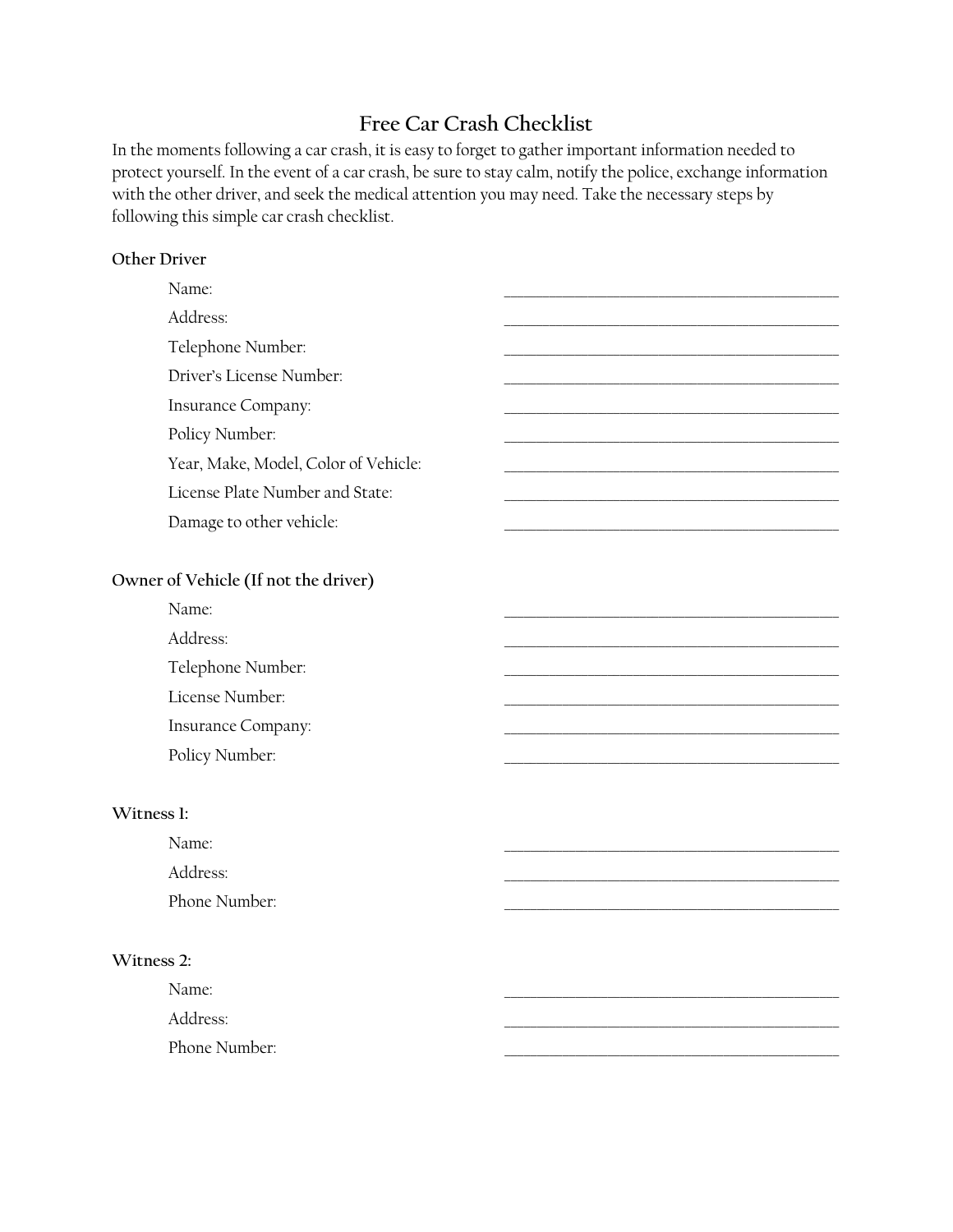# **Free Car Crash Checklist**

In the moments following a car crash, it is easy to forget to gather important information needed to protect yourself. In the event of a car crash, be sure to stay calm, notify the police, exchange information with the other driver, and seek the medical attention you may need. Take the necessary steps by following this simple car crash checklist.

### **Other Driver**

| Name:                                |  |
|--------------------------------------|--|
| Address:                             |  |
| Telephone Number:                    |  |
| Driver's License Number:             |  |
| Insurance Company:                   |  |
| Policy Number:                       |  |
| Year, Make, Model, Color of Vehicle: |  |
| License Plate Number and State:      |  |
| Damage to other vehicle:             |  |
|                                      |  |
| Owner of Vehicle (If not the driver) |  |
| Name:                                |  |
| Address:                             |  |
| Telephone Number:                    |  |
| License Number:                      |  |
| Insurance Company:                   |  |

Policy Number:

#### **Witness 1:**

| Name:         |  |
|---------------|--|
| Address:      |  |
| Phone Number: |  |

### **Witness 2:**

Name: 2008. 2008. 2008. 2008. 2008. 2008. 2008. 2008. 2008. 2008. 2008. 2008. 2008. 2008. 2008. 2008. 2008. 20 Address: \_\_\_\_\_\_\_\_\_\_\_\_\_\_\_\_\_\_\_\_\_\_\_\_\_\_\_\_\_\_\_\_\_\_\_\_\_\_\_\_\_\_\_\_\_\_\_\_\_\_\_\_

Phone Number: